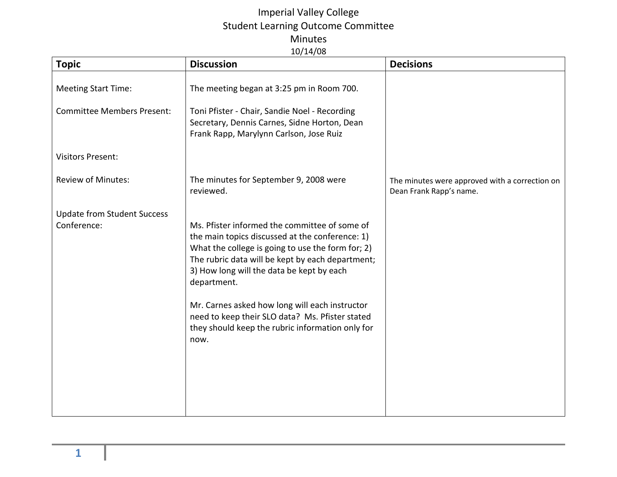## Imperial Valley College Student Learning Outcome Committee Minutes 10/14/08

| <b>Topic</b>                                      | <b>Discussion</b>                                                                                                                                                                                                                                                                                                                                                                                                                      | <b>Decisions</b>                                                          |
|---------------------------------------------------|----------------------------------------------------------------------------------------------------------------------------------------------------------------------------------------------------------------------------------------------------------------------------------------------------------------------------------------------------------------------------------------------------------------------------------------|---------------------------------------------------------------------------|
| <b>Meeting Start Time:</b>                        | The meeting began at 3:25 pm in Room 700.                                                                                                                                                                                                                                                                                                                                                                                              |                                                                           |
| <b>Committee Members Present:</b>                 | Toni Pfister - Chair, Sandie Noel - Recording<br>Secretary, Dennis Carnes, Sidne Horton, Dean<br>Frank Rapp, Marylynn Carlson, Jose Ruiz                                                                                                                                                                                                                                                                                               |                                                                           |
| <b>Visitors Present:</b>                          |                                                                                                                                                                                                                                                                                                                                                                                                                                        |                                                                           |
| <b>Review of Minutes:</b>                         | The minutes for September 9, 2008 were<br>reviewed.                                                                                                                                                                                                                                                                                                                                                                                    | The minutes were approved with a correction on<br>Dean Frank Rapp's name. |
| <b>Update from Student Success</b><br>Conference: | Ms. Pfister informed the committee of some of<br>the main topics discussed at the conference: 1)<br>What the college is going to use the form for; 2)<br>The rubric data will be kept by each department;<br>3) How long will the data be kept by each<br>department.<br>Mr. Carnes asked how long will each instructor<br>need to keep their SLO data? Ms. Pfister stated<br>they should keep the rubric information only for<br>now. |                                                                           |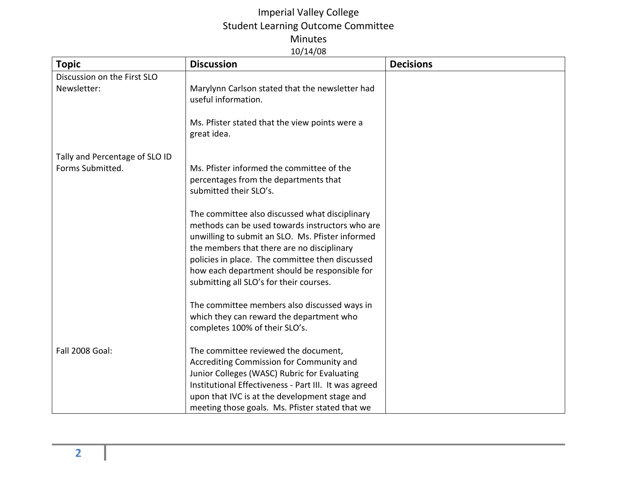## Imperial Valley College Student Learning Outcome Committee Minutes 10/14/08

| <b>Topic</b>                   | <b>Discussion</b>                                                                                                                                                                                                                                                                                                                                  | <b>Decisions</b> |
|--------------------------------|----------------------------------------------------------------------------------------------------------------------------------------------------------------------------------------------------------------------------------------------------------------------------------------------------------------------------------------------------|------------------|
| Discussion on the First SLO    |                                                                                                                                                                                                                                                                                                                                                    |                  |
| Newsletter:                    | Marylynn Carlson stated that the newsletter had<br>useful information.                                                                                                                                                                                                                                                                             |                  |
|                                | Ms. Pfister stated that the view points were a<br>great idea.                                                                                                                                                                                                                                                                                      |                  |
| Tally and Percentage of SLO ID |                                                                                                                                                                                                                                                                                                                                                    |                  |
| Forms Submitted.               | Ms. Pfister informed the committee of the<br>percentages from the departments that<br>submitted their SLO's.                                                                                                                                                                                                                                       |                  |
|                                | The committee also discussed what disciplinary<br>methods can be used towards instructors who are<br>unwilling to submit an SLO. Ms. Pfister informed<br>the members that there are no disciplinary<br>policies in place. The committee then discussed<br>how each department should be responsible for<br>submitting all SLO's for their courses. |                  |
|                                | The committee members also discussed ways in<br>which they can reward the department who<br>completes 100% of their SLO's.                                                                                                                                                                                                                         |                  |
| <b>Fall 2008 Goal:</b>         | The committee reviewed the document,<br>Accrediting Commission for Community and<br>Junior Colleges (WASC) Rubric for Evaluating<br>Institutional Effectiveness - Part III. It was agreed<br>upon that IVC is at the development stage and<br>meeting those goals. Ms. Pfister stated that we                                                      |                  |